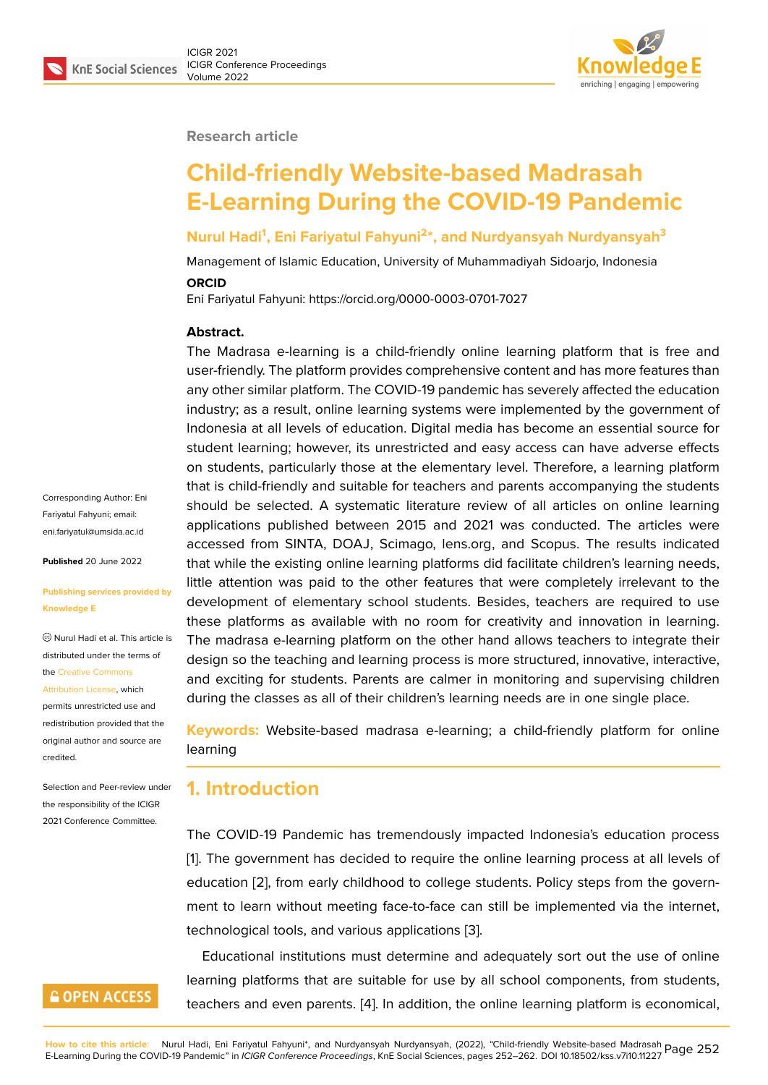#### **Research article**

# **Child-friendly Website-based Madrasah E-Learning During the COVID-19 Pandemic**

### **Nurul Hadi<sup>1</sup> , Eni Fariyatul Fahyuni<sup>2</sup> \*, and Nurdyansyah Nurdyansyah<sup>3</sup>**

Management of Islamic Education, University of Muhammadiyah Sidoarjo, Indonesia **ORCID**

Eni Fariyatul Fahyuni: https://orcid.org/0000-0003-0701-7027

#### **Abstract.**

The Madrasa e-learning is a child-friendly online learning platform that is free and user-friendly. The platform provides comprehensive content and has more features than any other similar platform. The COVID-19 pandemic has severely affected the education industry; as a result, online learning systems were implemented by the government of Indonesia at all levels of education. Digital media has become an essential source for student learning; however, its unrestricted and easy access can have adverse effects on students, particularly those at the elementary level. Therefore, a learning platform that is child-friendly and suitable for teachers and parents accompanying the students should be selected. A systematic literature review of all articles on online learning applications published between 2015 and 2021 was conducted. The articles were accessed from SINTA, DOAJ, Scimago, lens.org, and Scopus. The results indicated that while the existing online learning platforms did facilitate children's learning needs, little attention was paid to the other features that were completely irrelevant to the development of elementary school students. Besides, teachers are required to use these platforms as available with no room for creativity and innovation in learning. The madrasa e-learning platform on the other hand allows teachers to integrate their design so the teaching and learning process is more structured, innovative, interactive, and exciting for students. Parents are calmer in monitoring and supervising children during the classes as all of their children's learning needs are in one single place.

**Keywords:** Website-based madrasa e-learning; a child-friendly platform for online learning

## **1. Introduction**

The COVID-19 Pandemic has tremendously impacted Indonesia's education process [1]. The government has decided to require the online learning process at all levels of education [2], from early childhood to college students. Policy steps from the government to learn without meeting face-to-face can still be implemented via the internet, [te](#page-7-0)chnological tools, and various applications [3].

Educatio[na](#page-7-1)l institutions must determine and adequately sort out the use of online learning platforms that are suitable for use by all school components, from students, teachers and even parents. [4]. In addition, th[e](#page-7-2) online learning platform is economical,

**GOPEN ACCESS** 

Corresponding Author: Eni Fariyatul Fahyuni; email: eni.fariyatul@umsida.ac.id

**Published** 20 June 2022

**Knowledge E**

[credited.](https://creativecommons.org/licenses/by/4.0/)

**[Publishing services provi](mailto:eni.fariyatul@umsida.ac.id)ded by**

Nurul Hadi et al. This article is distributed under the terms of the Creative Commons Attribution License, which permits unrestricted use and redistribution provided that the orig[inal author and sou](https://creativecommons.org/licenses/by/4.0/)rce are

Selection and Peer-review under the responsibility of the ICIGR 2021 Conference Committee.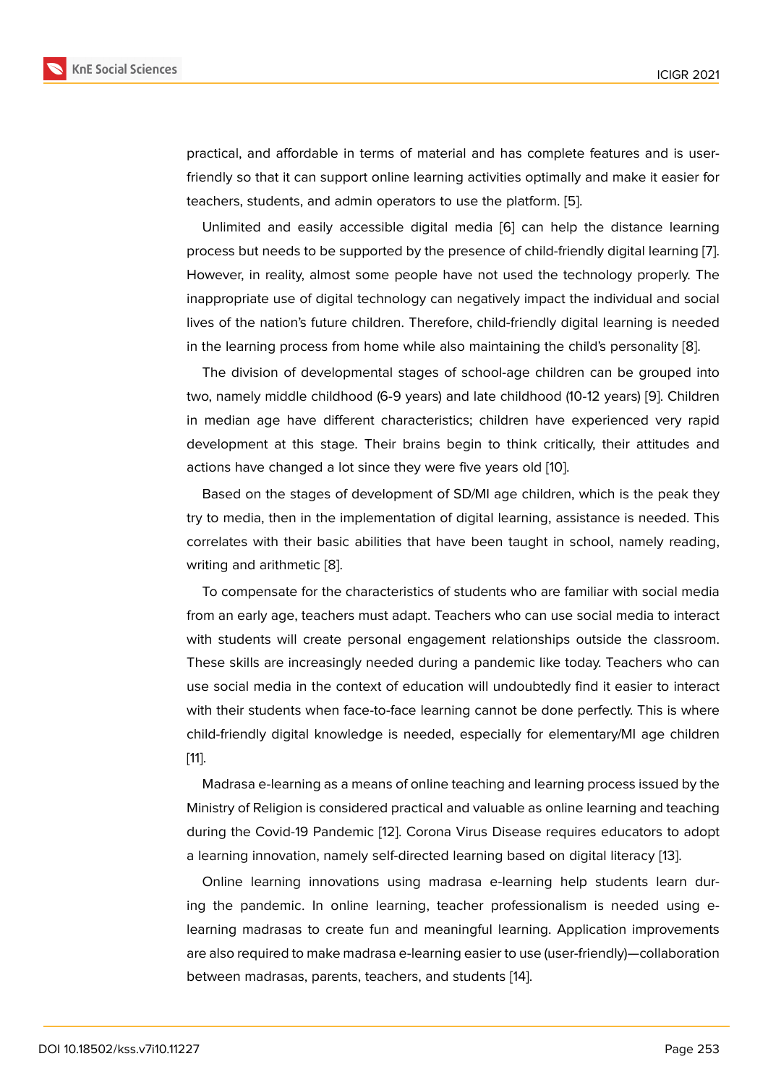practical, and affordable in terms of material and has complete features and is userfriendly so that it can support online learning activities optimally and make it easier for teachers, students, and admin operators to use the platform. [5].

Unlimited and easily accessible digital media [6] can help the distance learning process but needs to be supported by the presence of child-friendly digital learning [7]. However, in reality, almost some people have not used the [tec](#page-7-3)hnology properly. The inappropriate use of digital technology can negativ[el](#page-7-4)y impact the individual and social lives of the nation's future children. Therefore, child-friendly digital learning is need[ed](#page-7-5) in the learning process from home while also maintaining the child's personality [8].

The division of developmental stages of school-age children can be grouped into two, namely middle childhood (6-9 years) and late childhood (10-12 years) [9]. Children in median age have different characteristics; children have experienced very [ra](#page-8-0)pid development at this stage. Their brains begin to think critically, their attitudes and actions have changed a lot since they were five years old [10].

Based on the stages of development of SD/MI age children, which is the peak they try to media, then in the implementation of digital learning, assistance is needed. This correlates with their basic abilities that have been taught [in](#page-8-1) school, namely reading, writing and arithmetic [8].

To compensate for the characteristics of students who are familiar with social media from an early age, teachers must adapt. Teachers who can use social media to interact with students will cre[ate](#page-8-0) personal engagement relationships outside the classroom. These skills are increasingly needed during a pandemic like today. Teachers who can use social media in the context of education will undoubtedly find it easier to interact with their students when face-to-face learning cannot be done perfectly. This is where child-friendly digital knowledge is needed, especially for elementary/MI age children [11].

Madrasa e-learning as a means of online teaching and learning process issued by the Ministry of Religion is considered practical and valuable as online learning and teaching [du](#page-8-2)ring the Covid-19 Pandemic [12]. Corona Virus Disease requires educators to adopt a learning innovation, namely self-directed learning based on digital literacy [13].

Online learning innovations using madrasa e-learning help students learn during the pandemic. In online l[ear](#page-8-3)ning, teacher professionalism is needed using elearning madrasas to create fun and meaningful learning. Application impr[ove](#page-8-4)ments are also required to make madrasa e-learning easier to use (user-friendly)—collaboration between madrasas, parents, teachers, and students [14].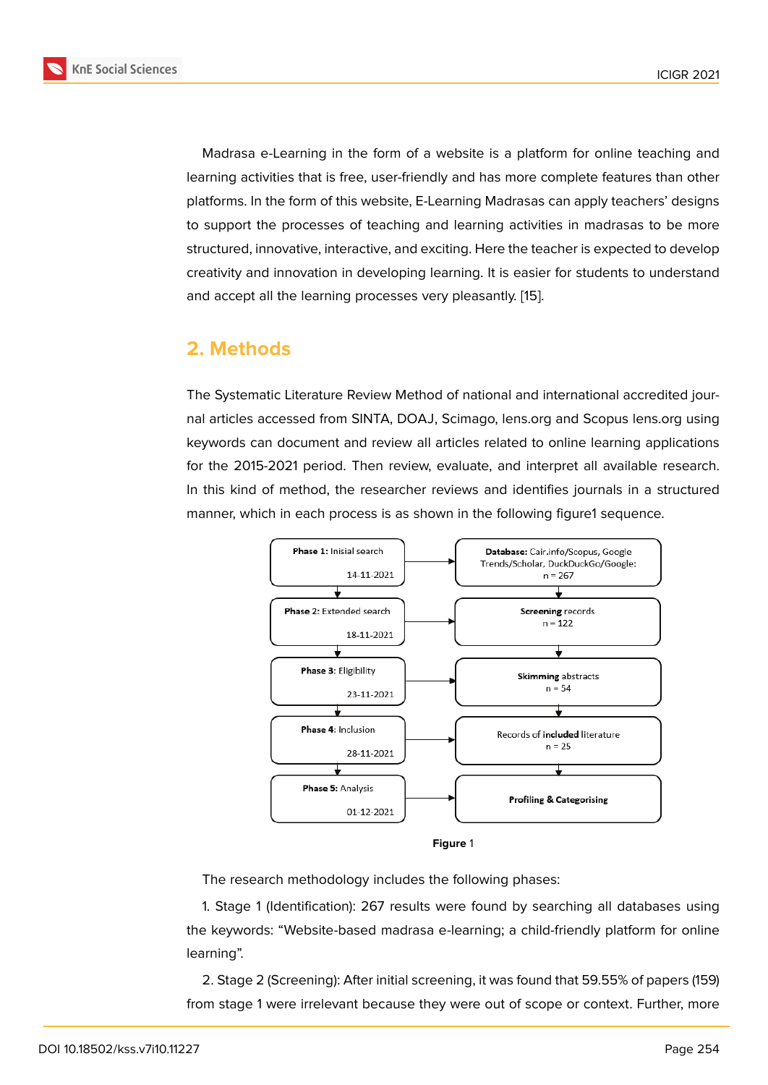Madrasa e-Learning in the form of a website is a platform for online teaching and learning activities that is free, user-friendly and has more complete features than other platforms. In the form of this website, E-Learning Madrasas can apply teachers' designs to support the processes of teaching and learning activities in madrasas to be more structured, innovative, interactive, and exciting. Here the teacher is expected to develop creativity and innovation in developing learning. It is easier for students to understand and accept all the learning processes very pleasantly. [15].

# **2. Methods**

The Systematic Literature Review Method of national and international accredited journal articles accessed from SINTA, DOAJ, Scimago, lens.org and Scopus lens.org using keywords can document and review all articles related to online learning applications for the 2015-2021 period. Then review, evaluate, and interpret all available research. In this kind of method, the researcher reviews and identifies journals in a structured manner, which in each process is as shown in the following figure1 sequence.



**Figure** 1

The research methodology includes the following phases:

1. Stage 1 (Identification): 267 results were found by searching all databases using the keywords: "Website-based madrasa e-learning; a child-friendly platform for online learning".

2. Stage 2 (Screening): After initial screening, it was found that 59.55% of papers (159) from stage 1 were irrelevant because they were out of scope or context. Further, more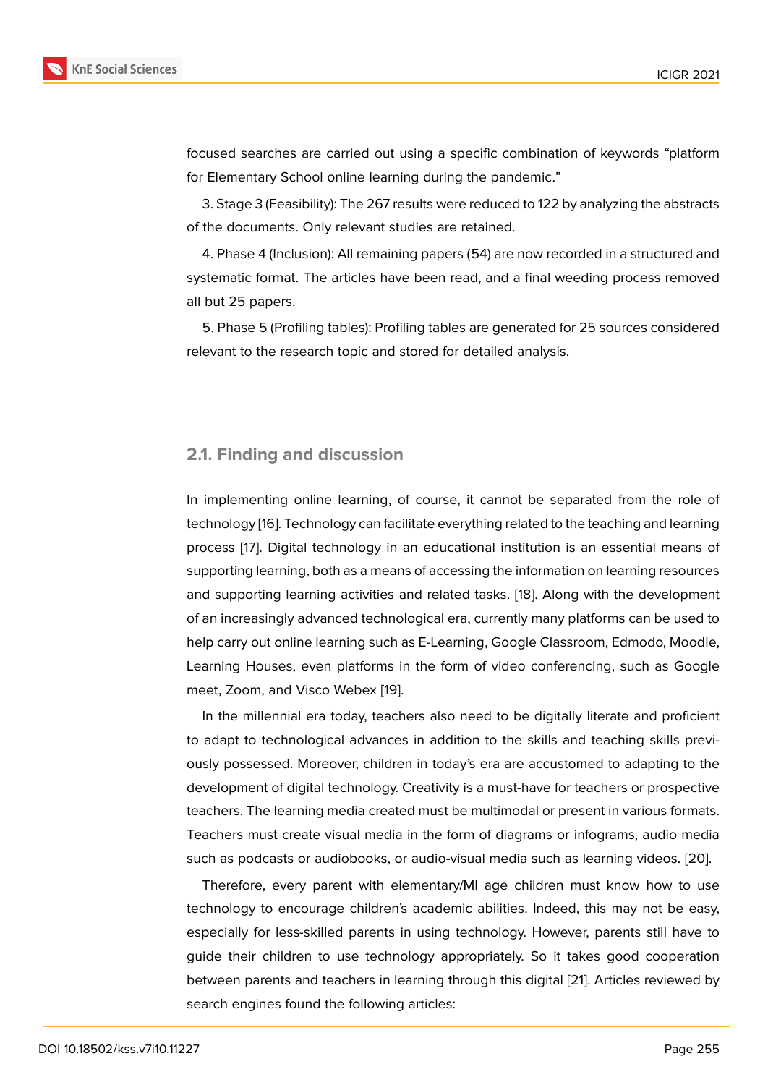focused searches are carried out using a specific combination of keywords "platform for Elementary School online learning during the pandemic."

3. Stage 3 (Feasibility): The 267 results were reduced to 122 by analyzing the abstracts of the documents. Only relevant studies are retained.

4. Phase 4 (Inclusion): All remaining papers (54) are now recorded in a structured and systematic format. The articles have been read, and a final weeding process removed all but 25 papers.

5. Phase 5 (Profiling tables): Profiling tables are generated for 25 sources considered relevant to the research topic and stored for detailed analysis.

#### **2.1. Finding and discussion**

In implementing online learning, of course, it cannot be separated from the role of technology [16]. Technology can facilitate everything related to the teaching and learning process [17]. Digital technology in an educational institution is an essential means of supporting learning, both as a means of accessing the information on learning resources and suppor[ting](#page-8-5) learning activities and related tasks. [18]. Along with the development of an incr[ea](#page-8-6)singly advanced technological era, currently many platforms can be used to help carry out online learning such as E-Learning, Google Classroom, Edmodo, Moodle, Learning Houses, even platforms in the form of vide[o c](#page-8-7)onferencing, such as Google meet, Zoom, and Visco Webex [19].

In the millennial era today, teachers also need to be digitally literate and proficient to adapt to technological advances in addition to the skills and teaching skills previously possessed. Moreover, chi[ldre](#page-8-8)n in today's era are accustomed to adapting to the development of digital technology. Creativity is a must-have for teachers or prospective teachers. The learning media created must be multimodal or present in various formats. Teachers must create visual media in the form of diagrams or infograms, audio media such as podcasts or audiobooks, or audio-visual media such as learning videos. [20].

Therefore, every parent with elementary/MI age children must know how to use technology to encourage children's academic abilities. Indeed, this may not be easy, especially for less-skilled parents in using technology. However, parents still ha[ve](#page-8-9) to guide their children to use technology appropriately. So it takes good cooperation between parents and teachers in learning through this digital [21]. Articles reviewed by search engines found the following articles: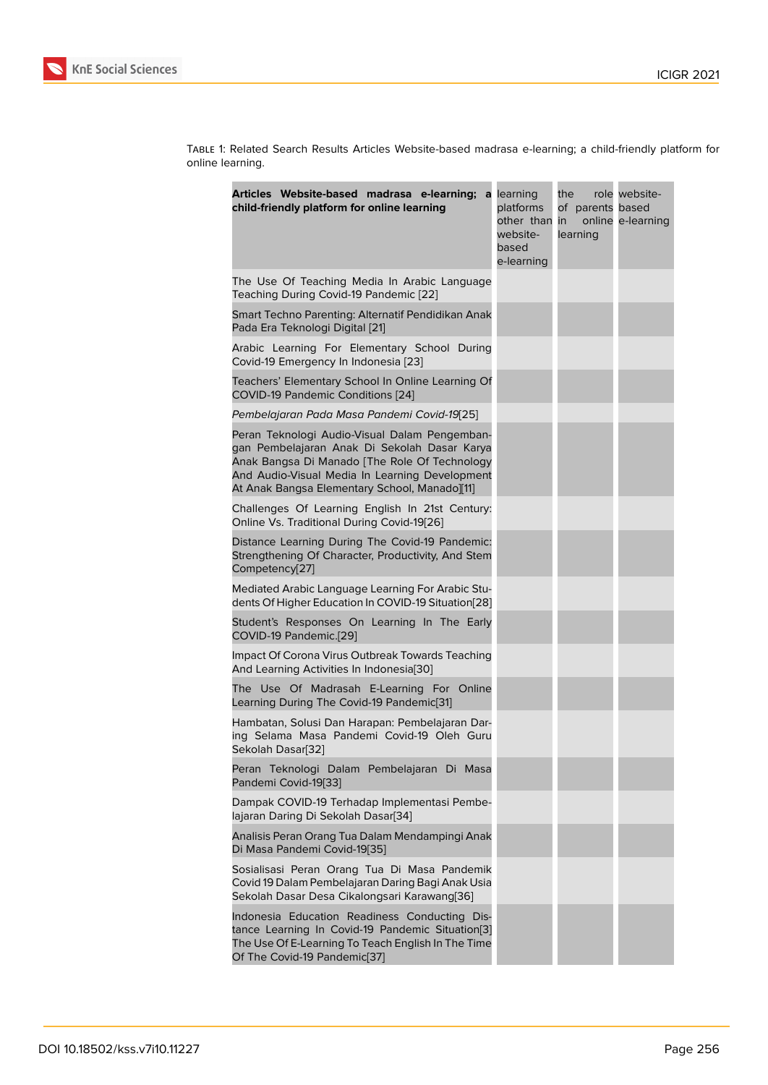Table 1: Related Search Results Articles Website-based madrasa e-learning; a child-friendly platform for online learning.

| Articles Website-based madrasa e-learning;<br>child-friendly platform for online learning                                                                                                                                                         | a learning<br>platforms<br>other than in<br>website-<br>based<br>e-learning | the<br>of parents based<br>learning | role website-<br>online e-learning |
|---------------------------------------------------------------------------------------------------------------------------------------------------------------------------------------------------------------------------------------------------|-----------------------------------------------------------------------------|-------------------------------------|------------------------------------|
| The Use Of Teaching Media In Arabic Language<br>Teaching During Covid-19 Pandemic [22]                                                                                                                                                            |                                                                             |                                     |                                    |
| Smart Techno Parenting: Alternatif Pendidikan Anak<br>Pada Era Teknologi Digital [21]                                                                                                                                                             |                                                                             |                                     |                                    |
| Arabic Learning For Elementary School During<br>Covid-19 Emergency In Indonesia [23]                                                                                                                                                              |                                                                             |                                     |                                    |
| Teachers' Elementary School In Online Learning Of<br>COVID-19 Pandemic Conditions [24]                                                                                                                                                            |                                                                             |                                     |                                    |
| Pembelajaran Pada Masa Pandemi Covid-19[25]                                                                                                                                                                                                       |                                                                             |                                     |                                    |
| Peran Teknologi Audio-Visual Dalam Pengemban-<br>gan Pembelajaran Anak Di Sekolah Dasar Karya<br>Anak Bangsa Di Manado [The Role Of Technology<br>And Audio-Visual Media In Learning Development<br>At Anak Bangsa Elementary School, Manado][11] |                                                                             |                                     |                                    |
| Challenges Of Learning English In 21st Century:<br>Online Vs. Traditional During Covid-19[26]                                                                                                                                                     |                                                                             |                                     |                                    |
| Distance Learning During The Covid-19 Pandemic:<br>Strengthening Of Character, Productivity, And Stem<br>Competency[27]                                                                                                                           |                                                                             |                                     |                                    |
| Mediated Arabic Language Learning For Arabic Stu-<br>dents Of Higher Education In COVID-19 Situation[28]                                                                                                                                          |                                                                             |                                     |                                    |
| Student's Responses On Learning In The Early<br>COVID-19 Pandemic.[29]                                                                                                                                                                            |                                                                             |                                     |                                    |
| Impact Of Corona Virus Outbreak Towards Teaching<br>And Learning Activities In Indonesia[30]                                                                                                                                                      |                                                                             |                                     |                                    |
| The Use Of Madrasah E-Learning For Online<br>Learning During The Covid-19 Pandemic[31]                                                                                                                                                            |                                                                             |                                     |                                    |
| Hambatan, Solusi Dan Harapan: Pembelajaran Dar-<br>ing Selama Masa Pandemi Covid-19 Oleh Guru<br>Sekolah Dasar[32]                                                                                                                                |                                                                             |                                     |                                    |
| Peran Teknologi Dalam Pembelajaran Di Masa<br>Pandemi Covid-19[33]                                                                                                                                                                                |                                                                             |                                     |                                    |
| Dampak COVID-19 Terhadap Implementasi Pembe-<br>lajaran Daring Di Sekolah Dasar[34]                                                                                                                                                               |                                                                             |                                     |                                    |
| Analisis Peran Orang Tua Dalam Mendampingi Anak<br>Di Masa Pandemi Covid-19[35]                                                                                                                                                                   |                                                                             |                                     |                                    |
| Sosialisasi Peran Orang Tua Di Masa Pandemik<br>Covid 19 Dalam Pembelajaran Daring Bagi Anak Usia<br>Sekolah Dasar Desa Cikalongsari Karawang[36]                                                                                                 |                                                                             |                                     |                                    |
| Indonesia Education Readiness Conducting Dis-<br>tance Learning In Covid-19 Pandemic Situation[3]<br>The Use Of E-Learning To Teach English In The Time<br>Of The Covid-19 Pandemic[37]                                                           |                                                                             |                                     |                                    |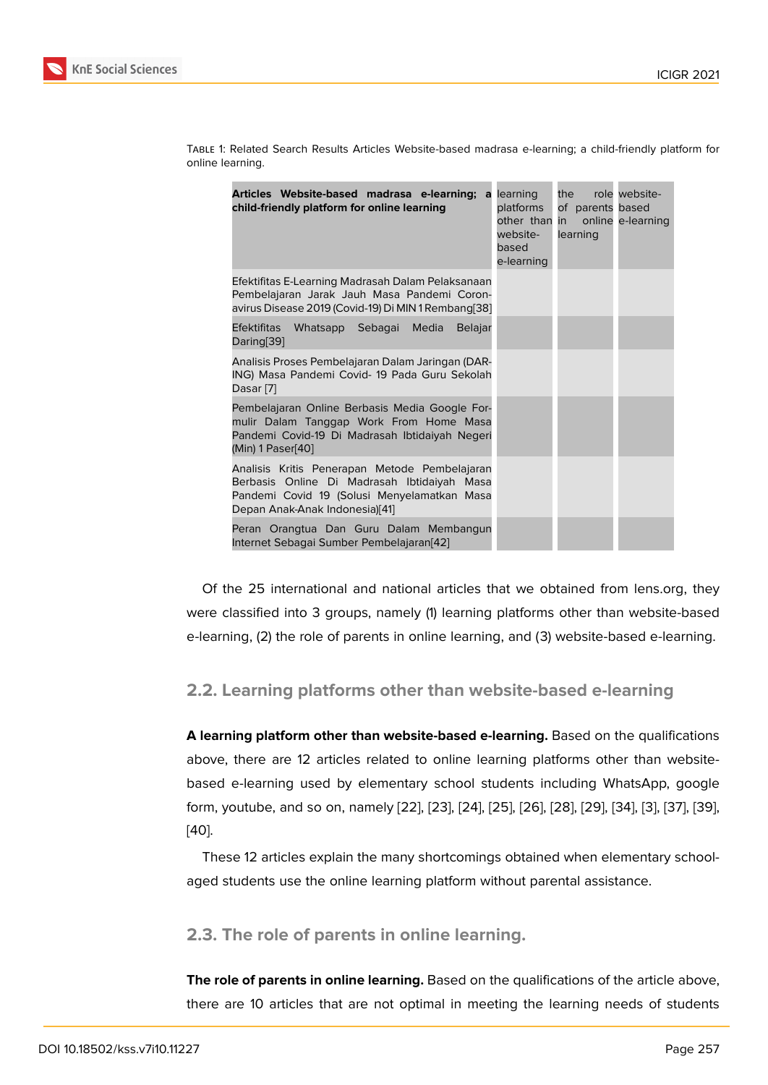| Articles Website-based madrasa e-learning; a<br>child-friendly platform for online learning                                                                                   | learning<br>platforms<br>other than in<br>website-<br>based<br>e-learning | the role website-<br>of parents based<br>learning | online e-learning |
|-------------------------------------------------------------------------------------------------------------------------------------------------------------------------------|---------------------------------------------------------------------------|---------------------------------------------------|-------------------|
| Efektifitas E-Learning Madrasah Dalam Pelaksanaan<br>Pembelajaran Jarak Jauh Masa Pandemi Coron-<br>avirus Disease 2019 (Covid-19) Di MIN 1 Rembang[38]                       |                                                                           |                                                   |                   |
| <b>Efektifitas</b><br>Whatsapp Sebagai Media<br><b>Belajar</b><br>Daring[39]                                                                                                  |                                                                           |                                                   |                   |
| Analisis Proses Pembelajaran Dalam Jaringan (DAR-<br>ING) Masa Pandemi Covid- 19 Pada Guru Sekolah<br>Dasar [7]                                                               |                                                                           |                                                   |                   |
| Pembelajaran Online Berbasis Media Google For-<br>mulir Dalam Tanggap Work From Home Masa<br>Pandemi Covid-19 Di Madrasah Ibtidaiyah Negeri<br>(Min) 1 Paser[40]              |                                                                           |                                                   |                   |
| Analisis Kritis Penerapan Metode Pembelajaran<br>Berbasis Online Di Madrasah Ibtidaiyah Masa<br>Pandemi Covid 19 (Solusi Menyelamatkan Masa<br>Depan Anak-Anak Indonesia)[41] |                                                                           |                                                   |                   |
| Peran Orangtua Dan Guru Dalam Membangun<br>Internet Sebagai Sumber Pembelajaran[42]                                                                                           |                                                                           |                                                   |                   |

Table 1: Related Search Results Articles Website-based madrasa e-learning; a child-friendly platform for online learning.

Of the 25 international and national articles that we obtained from lens.org, they were classified into 3 groups, namely ([1\) le](#page-10-6)arning platforms other than website-based e-learning, (2) the role of parents in online learning, and (3) website-based e-learning.

### **2.2. Learning platforms other than website-based e-learning**

**A learning platform other than website-based e-learning.** Based on the qualifications above, there are 12 articles related to online learning platforms other than websitebased e-learning used by elementary school students including WhatsApp, google form, youtube, and so on, namely [22], [23], [24], [25], [26], [28], [29], [34], [3], [37], [39], [40].

These 12 articles explain the many shortcomings obtained when elementar[y sc](#page-10-7)h[ool](#page-10-4)aged students use the online lear[ning](#page-9-0) [plat](#page-9-2)fo[rm](#page-9-3) w[itho](#page-9-4)u[t pa](#page-9-5)r[enta](#page-9-11)l [ass](#page-9-7)is[tan](#page-10-1)c[e.](#page-7-2)

## **2.3. The role of parents in online learning.**

**The role of parents in online learning.** Based on the qualifications of the article above, there are 10 articles that are not optimal in meeting the learning needs of students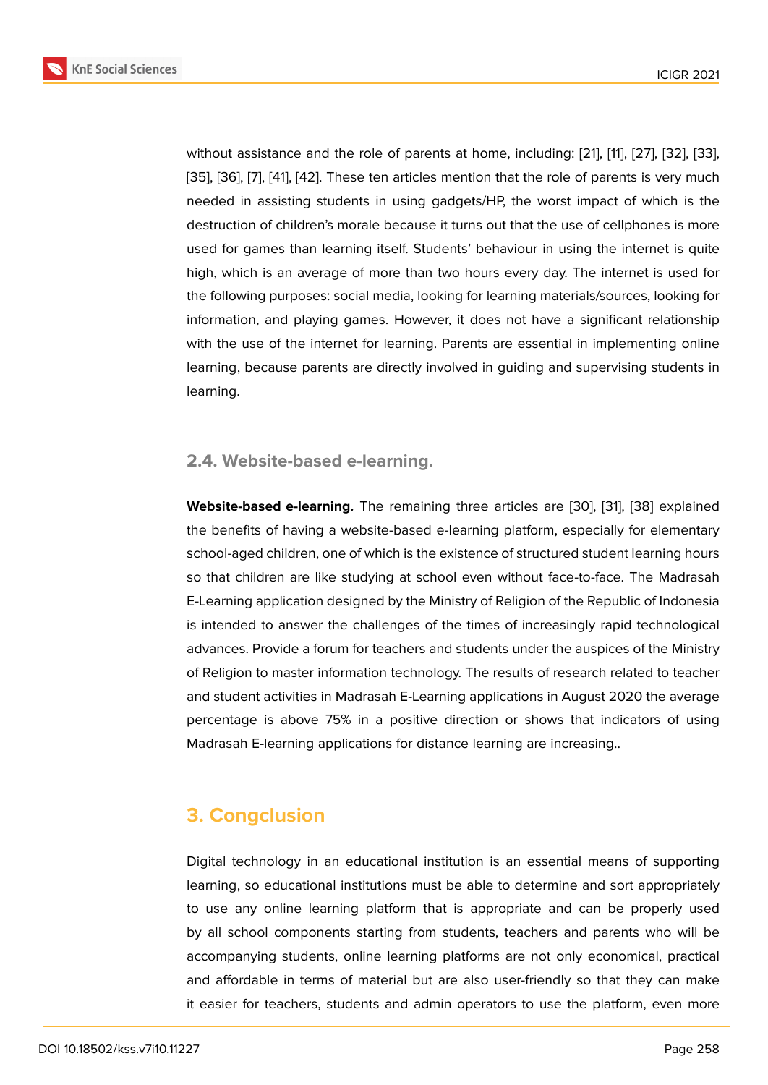without assistance and the role of parents at home, including: [21], [11], [27], [32], [33], [35], [36], [7], [41], [42]. These ten articles mention that the role of parents is very much needed in assisting students in using gadgets/HP, the worst impact of which is the destruction of children's morale because it turns out that the us[e of](#page-9-1) c[el](#page-8-2)lp[hon](#page-9-6)e[s is](#page-9-10) [more](#page-10-0) [use](#page-10-2)d [for](#page-10-8) [ga](#page-7-5)m[es](#page-10-9) t[han](#page-10-6) learning itself. Students' behaviour in using the internet is quite high, which is an average of more than two hours every day. The internet is used for the following purposes: social media, looking for learning materials/sources, looking for information, and playing games. However, it does not have a significant relationship with the use of the internet for learning. Parents are essential in implementing online learning, because parents are directly involved in guiding and supervising students in learning.

#### **2.4. Website-based e-learning.**

**Website-based e-learning.** The remaining three articles are [30], [31], [38] explained the benefits of having a website-based e-learning platform, especially for elementary school-aged children, one of which is the existence of structured student learning hours so that children are like studying at school even without fac[e-to](#page-9-8)-f[ace](#page-9-9). [The](#page-10-3) Madrasah E-Learning application designed by the Ministry of Religion of the Republic of Indonesia is intended to answer the challenges of the times of increasingly rapid technological advances. Provide a forum for teachers and students under the auspices of the Ministry of Religion to master information technology. The results of research related to teacher and student activities in Madrasah E-Learning applications in August 2020 the average percentage is above 75% in a positive direction or shows that indicators of using Madrasah E-learning applications for distance learning are increasing..

## **3. Congclusion**

Digital technology in an educational institution is an essential means of supporting learning, so educational institutions must be able to determine and sort appropriately to use any online learning platform that is appropriate and can be properly used by all school components starting from students, teachers and parents who will be accompanying students, online learning platforms are not only economical, practical and affordable in terms of material but are also user-friendly so that they can make it easier for teachers, students and admin operators to use the platform, even more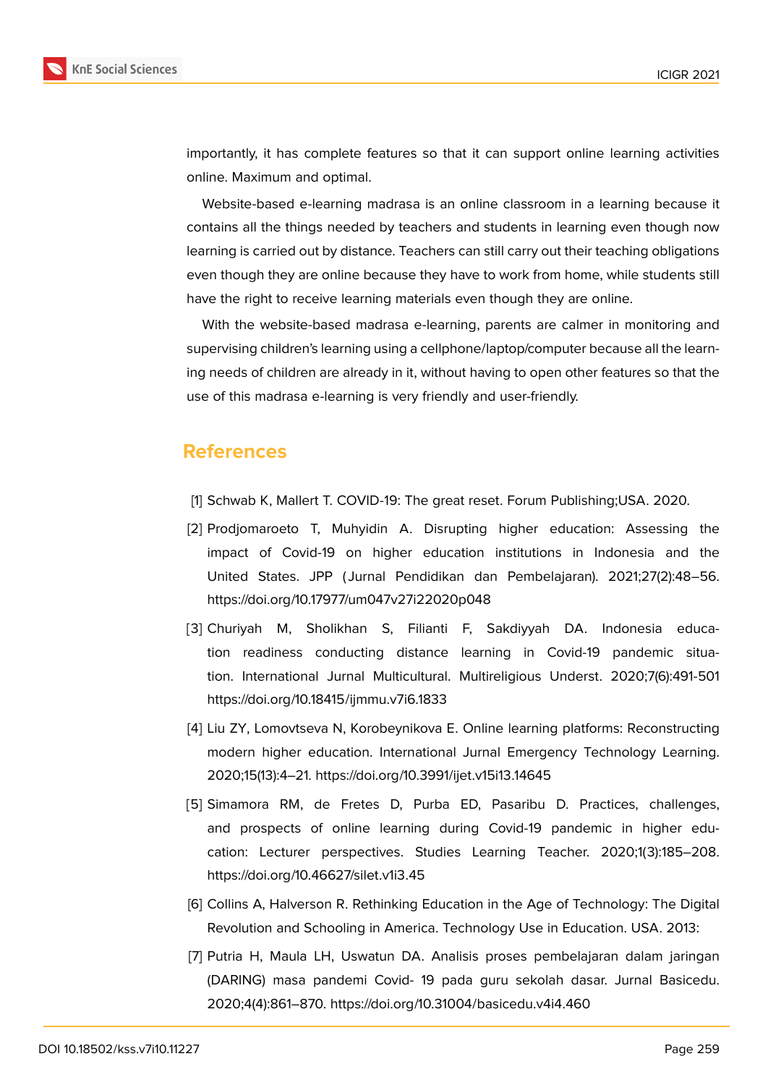

importantly, it has complete features so that it can support online learning activities online. Maximum and optimal.

Website-based e-learning madrasa is an online classroom in a learning because it contains all the things needed by teachers and students in learning even though now learning is carried out by distance. Teachers can still carry out their teaching obligations even though they are online because they have to work from home, while students still have the right to receive learning materials even though they are online.

With the website-based madrasa e-learning, parents are calmer in monitoring and supervising children's learning using a cellphone/laptop/computer because all the learning needs of children are already in it, without having to open other features so that the use of this madrasa e-learning is very friendly and user-friendly.

## **References**

- <span id="page-7-0"></span>[1] Schwab K, Mallert T. COVID-19: The great reset. Forum Publishing;USA. 2020.
- <span id="page-7-1"></span>[2] Prodjomaroeto T, Muhyidin A. Disrupting higher education: Assessing the impact of Covid-19 on higher education institutions in Indonesia and the United States. JPP ( Jurnal Pendidikan dan Pembelajaran). 2021;27(2):48–56. https://doi.org/10.17977/um047v27i22020p048
- <span id="page-7-2"></span>[3] Churiyah M, Sholikhan S, Filianti F, Sakdiyyah DA. Indonesia education readiness conducting distance learning in Covid-19 pandemic situation. International Jurnal Multicultural. Multireligious Underst. 2020;7(6):491-501 https://doi.org/10.18415/ijmmu.v7i6.1833
- [4] Liu ZY, Lomovtseva N, Korobeynikova E. Online learning platforms: Reconstructing modern higher education. International Jurnal Emergency Technology Learning. 2020;15(13):4–21. https://doi.org/10.3991/ijet.v15i13.14645
- <span id="page-7-3"></span>[5] Simamora RM, de Fretes D, Purba ED, Pasaribu D. Practices, challenges, and prospects of online learning during Covid-19 pandemic in higher education: Lecturer perspectives. Studies Learning Teacher. 2020;1(3):185–208. https://doi.org/10.46627/silet.v1i3.45
- <span id="page-7-4"></span>[6] Collins A, Halverson R. Rethinking Education in the Age of Technology: The Digital Revolution and Schooling in America. Technology Use in Education. USA. 2013:
- <span id="page-7-5"></span>[7] Putria H, Maula LH, Uswatun DA. Analisis proses pembelajaran dalam jaringan (DARING) masa pandemi Covid- 19 pada guru sekolah dasar. Jurnal Basicedu. 2020;4(4):861–870. https://doi.org/10.31004/basicedu.v4i4.460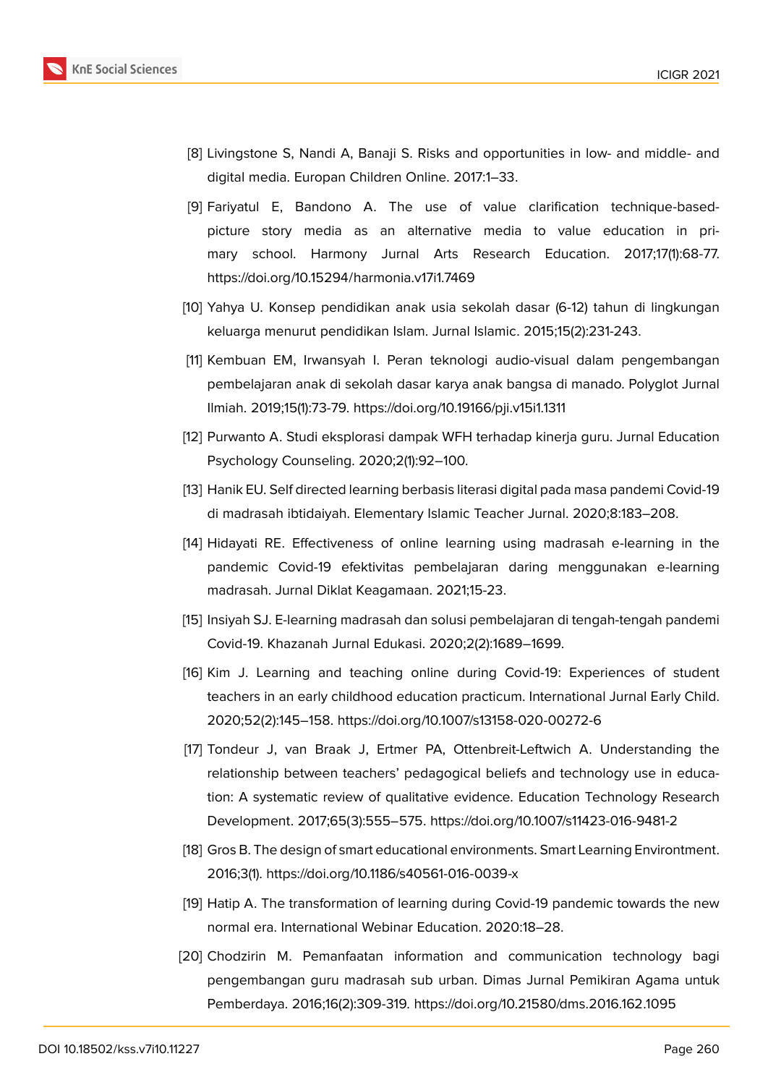

- <span id="page-8-0"></span>[8] Livingstone S, Nandi A, Banaji S. Risks and opportunities in low- and middle- and digital media. Europan Children Online. 2017:1–33.
- [9] Fariyatul E, Bandono A. The use of value clarification technique-basedpicture story media as an alternative media to value education in primary school. Harmony Jurnal Arts Research Education. 2017;17(1):68-77. https://doi.org/10.15294/harmonia.v17i1.7469
- <span id="page-8-1"></span>[10] Yahya U. Konsep pendidikan anak usia sekolah dasar (6-12) tahun di lingkungan keluarga menurut pendidikan Islam. Jurnal Islamic. 2015;15(2):231-243.
- <span id="page-8-2"></span>[11] Kembuan EM, Irwansyah I. Peran teknologi audio-visual dalam pengembangan pembelajaran anak di sekolah dasar karya anak bangsa di manado. Polyglot Jurnal Ilmiah. 2019;15(1):73-79. https://doi.org/10.19166/pji.v15i1.1311
- <span id="page-8-3"></span>[12] Purwanto A. Studi eksplorasi dampak WFH terhadap kinerja guru. Jurnal Education Psychology Counseling. 2020;2(1):92–100.
- <span id="page-8-4"></span>[13] Hanik EU. Self directed learning berbasis literasi digital pada masa pandemi Covid-19 di madrasah ibtidaiyah. Elementary Islamic Teacher Jurnal. 2020;8:183–208.
- [14] Hidayati RE. Effectiveness of online learning using madrasah e-learning in the pandemic Covid-19 efektivitas pembelajaran daring menggunakan e-learning madrasah. Jurnal Diklat Keagamaan. 2021;15-23.
- [15] Insiyah SJ. E-learning madrasah dan solusi pembelajaran di tengah-tengah pandemi Covid-19. Khazanah Jurnal Edukasi. 2020;2(2):1689–1699.
- <span id="page-8-5"></span>[16] Kim J. Learning and teaching online during Covid-19: Experiences of student teachers in an early childhood education practicum. International Jurnal Early Child. 2020;52(2):145–158. https://doi.org/10.1007/s13158-020-00272-6
- <span id="page-8-6"></span>[17] Tondeur J, van Braak J, Ertmer PA, Ottenbreit-Leftwich A. Understanding the relationship between teachers' pedagogical beliefs and technology use in education: A systematic review of qualitative evidence. Education Technology Research Development. 2017;65(3):555–575. https://doi.org/10.1007/s11423-016-9481-2
- <span id="page-8-7"></span>[18] Gros B. The design of smart educational environments. Smart Learning Environtment. 2016;3(1). https://doi.org/10.1186/s40561-016-0039-x
- <span id="page-8-8"></span>[19] Hatip A. The transformation of learning during Covid-19 pandemic towards the new normal era. International Webinar Education. 2020:18–28.
- <span id="page-8-9"></span>[20] Chodzirin M. Pemanfaatan information and communication technology bagi pengembangan guru madrasah sub urban. Dimas Jurnal Pemikiran Agama untuk Pemberdaya. 2016;16(2):309-319. https://doi.org/10.21580/dms.2016.162.1095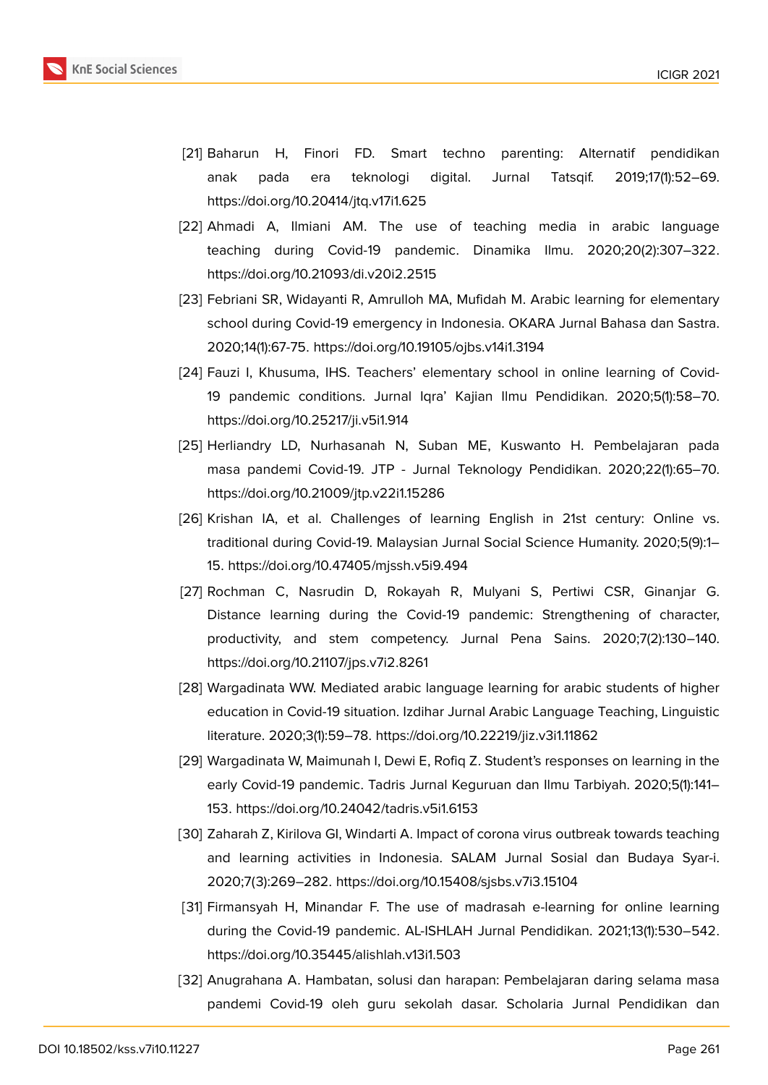

- <span id="page-9-1"></span>[21] Baharun H, Finori FD. Smart techno parenting: Alternatif pendidikan anak pada era teknologi digital. Jurnal Tatsqif. 2019;17(1):52–69. https://doi.org/10.20414/jtq.v17i1.625
- <span id="page-9-0"></span>[22] Ahmadi A, Ilmiani AM. The use of teaching media in arabic language teaching during Covid-19 pandemic. Dinamika Ilmu. 2020;20(2):307–322. https://doi.org/10.21093/di.v20i2.2515
- <span id="page-9-2"></span>[23] Febriani SR, Widayanti R, Amrulloh MA, Mufidah M. Arabic learning for elementary school during Covid-19 emergency in Indonesia. OKARA Jurnal Bahasa dan Sastra. 2020;14(1):67-75. https://doi.org/10.19105/ojbs.v14i1.3194
- <span id="page-9-3"></span>[24] Fauzi I, Khusuma, IHS. Teachers' elementary school in online learning of Covid-19 pandemic conditions. Jurnal Iqra' Kajian Ilmu Pendidikan. 2020;5(1):58–70. https://doi.org/10.25217/ji.v5i1.914
- <span id="page-9-4"></span>[25] Herliandry LD, Nurhasanah N, Suban ME, Kuswanto H. Pembelajaran pada masa pandemi Covid-19. JTP - Jurnal Teknology Pendidikan. 2020;22(1):65–70. https://doi.org/10.21009/jtp.v22i1.15286
- <span id="page-9-5"></span>[26] Krishan IA, et al. Challenges of learning English in 21st century: Online vs. traditional during Covid-19. Malaysian Jurnal Social Science Humanity. 2020;5(9):1– 15. https://doi.org/10.47405/mjssh.v5i9.494
- <span id="page-9-6"></span>[27] Rochman C, Nasrudin D, Rokayah R, Mulyani S, Pertiwi CSR, Ginanjar G. Distance learning during the Covid-19 pandemic: Strengthening of character, productivity, and stem competency. Jurnal Pena Sains. 2020;7(2):130–140. https://doi.org/10.21107/jps.v7i2.8261
- <span id="page-9-11"></span>[28] Wargadinata WW. Mediated arabic language learning for arabic students of higher education in Covid-19 situation. Izdihar Jurnal Arabic Language Teaching, Linguistic literature. 2020;3(1):59–78. https://doi.org/10.22219/jiz.v3i1.11862
- <span id="page-9-7"></span>[29] Wargadinata W, Maimunah I, Dewi E, Rofiq Z. Student's responses on learning in the early Covid-19 pandemic. Tadris Jurnal Keguruan dan Ilmu Tarbiyah. 2020;5(1):141– 153. https://doi.org/10.24042/tadris.v5i1.6153
- <span id="page-9-8"></span>[30] Zaharah Z, Kirilova GI, Windarti A. Impact of corona virus outbreak towards teaching and learning activities in Indonesia. SALAM Jurnal Sosial dan Budaya Syar-i. 2020;7(3):269–282. https://doi.org/10.15408/sjsbs.v7i3.15104
- <span id="page-9-9"></span>[31] Firmansyah H, Minandar F. The use of madrasah e-learning for online learning during the Covid-19 pandemic. AL-ISHLAH Jurnal Pendidikan. 2021;13(1):530–542. https://doi.org/10.35445/alishlah.v13i1.503
- <span id="page-9-10"></span>[32] Anugrahana A. Hambatan, solusi dan harapan: Pembelajaran daring selama masa pandemi Covid-19 oleh guru sekolah dasar. Scholaria Jurnal Pendidikan dan